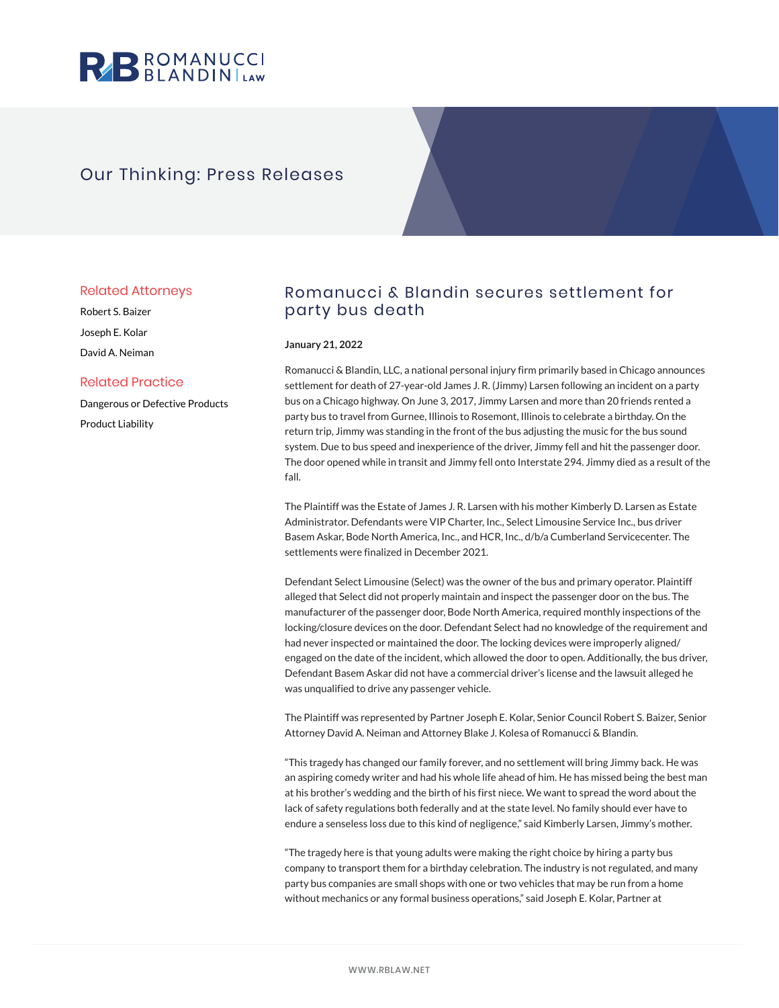

# Our Thinking: Press Releases

### Related Attorneys

Robert S. Baizer Joseph E. Kolar David A. Neiman

## Related Practice

Dangerous or Defective Products Product Liability

# Romanucci & Blandin secures settlement for party bus death

### **January 21, 2022**

Romanucci & Blandin, LLC, a national personal injury firm primarily based in Chicago announces settlement for death of 27-year-old James J. R. (Jimmy) Larsen following an incident on a party bus on a Chicago highway. On June 3, 2017, Jimmy Larsen and more than 20 friends rented a party bus to travel from Gurnee, Illinois to Rosemont, Illinois to celebrate a birthday. On the return trip, Jimmy was standing in the front of the bus adjusting the music for the bus sound system. Due to bus speed and inexperience of the driver, Jimmy fell and hit the passenger door. The door opened while in transit and Jimmy fell onto Interstate 294. Jimmy died as a result of the fall.

The Plaintiff was the Estate of James J. R. Larsen with his mother Kimberly D. Larsen as Estate Administrator. Defendants were VIP Charter, Inc., Select Limousine Service Inc., bus driver Basem Askar, Bode North America, Inc., and HCR, Inc., d/b/a Cumberland Servicecenter. The settlements were finalized in December 2021.

Defendant Select Limousine (Select) was the owner of the bus and primary operator. Plaintiff alleged that Select did not properly maintain and inspect the passenger door on the bus. The manufacturer of the passenger door, Bode North America, required monthly inspections of the locking/closure devices on the door. Defendant Select had no knowledge of the requirement and had never inspected or maintained the door. The locking devices were improperly aligned/ engaged on the date of the incident, which allowed the door to open. Additionally, the bus driver, Defendant Basem Askar did not have a commercial driver's license and the lawsuit alleged he was unqualified to drive any passenger vehicle.

The Plaintiff was represented by Partner Joseph E. Kolar, Senior Council Robert S. Baizer, Senior Attorney David A. Neiman and Attorney Blake J. Kolesa of Romanucci & Blandin.

"This tragedy has changed our family forever, and no settlement will bring Jimmy back. He was an aspiring comedy writer and had his whole life ahead of him. He has missed being the best man at his brother's wedding and the birth of his first niece. We want to spread the word about the lack of safety regulations both federally and at the state level. No family should ever have to endure a senseless loss due to this kind of negligence," said Kimberly Larsen, Jimmy's mother.

"The tragedy here is that young adults were making the right choice by hiring a party bus company to transport them for a birthday celebration. The industry is not regulated, and many party bus companies are small shops with one or two vehicles that may be run from a home without mechanics or any formal business operations," said Joseph E. Kolar, Partner at